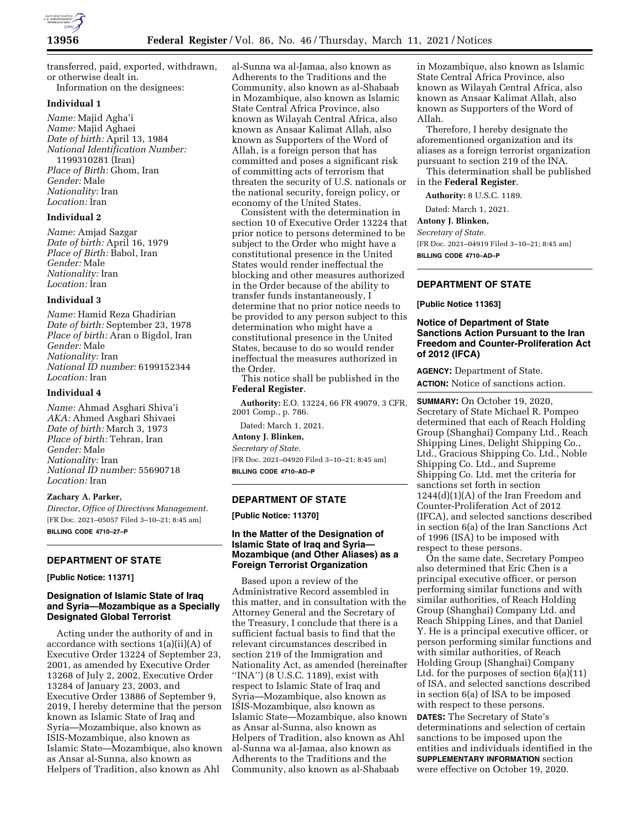

transferred, paid, exported, withdrawn, or otherwise dealt in. Information on the designees:

# **Individual 1**

*Name:* Majid Agha'i *Name:* Majid Aghaei *Date of birth:* April 13, 1984 *National Identification Number:*  1199310281 (Iran) *Place of Birth:* Ghom, Iran *Gender:* Male *Nationality:* Iran *Location:* Iran

### **Individual 2**

*Name:* Amjad Sazgar *Date of birth:* April 16, 1979 *Place of Birth:* Babol, Iran *Gender:* Male *Nationality:* Iran *Location:* Iran

#### **Individual 3**

*Name:* Hamid Reza Ghadirian *Date of birth:* September 23, 1978 *Place of birth:* Aran o Bigdol, Iran *Gender:* Male *Nationality:* Iran *National ID number:* 6199152344 *Location:* Iran

### **Individual 4**

*Name:* Ahmad Asghari Shiva'i *AKA:* Ahmed Asghari Shivaei *Date of birth:* March 3, 1973 *Place of birth:* Tehran, Iran *Gender:* Male *Nationality:* Iran *National ID number:* 55690718 *Location:* Iran

#### **Zachary A. Parker,**

*Director, Office of Directives Management.*  [FR Doc. 2021–05057 Filed 3–10–21; 8:45 am] **BILLING CODE 4710–27–P** 

# **DEPARTMENT OF STATE**

**[Public Notice: 11371]** 

# **Designation of Islamic State of Iraq and Syria—Mozambique as a Specially Designated Global Terrorist**

Acting under the authority of and in accordance with sections 1(a)(ii)(A) of Executive Order 13224 of September 23, 2001, as amended by Executive Order 13268 of July 2, 2002, Executive Order 13284 of January 23, 2003, and Executive Order 13886 of September 9, 2019, I hereby determine that the person known as Islamic State of Iraq and Syria—Mozambique, also known as ISIS-Mozambique, also known as Islamic State—Mozambique, also known as Ansar al-Sunna, also known as Helpers of Tradition, also known as Ahl

al-Sunna wa al-Jamaa, also known as Adherents to the Traditions and the Community, also known as al-Shabaab in Mozambique, also known as Islamic State Central Africa Province, also known as Wilayah Central Africa, also known as Ansaar Kalimat Allah, also known as Supporters of the Word of Allah, is a foreign person that has committed and poses a significant risk of committing acts of terrorism that threaten the security of U.S. nationals or the national security, foreign policy, or economy of the United States.

Consistent with the determination in section 10 of Executive Order 13224 that prior notice to persons determined to be subject to the Order who might have a constitutional presence in the United States would render ineffectual the blocking and other measures authorized in the Order because of the ability to transfer funds instantaneously, I determine that no prior notice needs to be provided to any person subject to this determination who might have a constitutional presence in the United States, because to do so would render ineffectual the measures authorized in the Order.

This notice shall be published in the **Federal Register**.

**Authority:** E.O. 13224, 66 FR 49079, 3 CFR, 2001 Comp., p. 786.

Dated: March 1, 2021.

### **Antony J. Blinken,**

*Secretary of State.* 

[FR Doc. 2021–04920 Filed 3–10–21; 8:45 am] **BILLING CODE 4710–AD–P** 

# **DEPARTMENT OF STATE**

**[Public Notice: 11370]** 

# **In the Matter of the Designation of Islamic State of Iraq and Syria— Mozambique (and Other Aliases) as a Foreign Terrorist Organization**

Based upon a review of the Administrative Record assembled in this matter, and in consultation with the Attorney General and the Secretary of the Treasury, I conclude that there is a sufficient factual basis to find that the relevant circumstances described in section 219 of the Immigration and Nationality Act, as amended (hereinafter ''INA'') (8 U.S.C. 1189), exist with respect to Islamic State of Iraq and Syria—Mozambique, also known as ISIS-Mozambique, also known as Islamic State—Mozambique, also known as Ansar al-Sunna, also known as Helpers of Tradition, also known as Ahl al-Sunna wa al-Jamaa, also known as Adherents to the Traditions and the Community, also known as al-Shabaab

in Mozambique, also known as Islamic State Central Africa Province, also known as Wilayah Central Africa, also known as Ansaar Kalimat Allah, also known as Supporters of the Word of Allah.

Therefore, I hereby designate the aforementioned organization and its aliases as a foreign terrorist organization pursuant to section 219 of the INA.

This determination shall be published in the **Federal Register**.

**Authority:** 8 U.S.C. 1189.

Dated: March 1, 2021.

# **Antony J. Blinken,**

*Secretary of State.* 

[FR Doc. 2021–04919 Filed 3–10–21; 8:45 am] **BILLING CODE 4710–AD–P** 

# **DEPARTMENT OF STATE**

**[Public Notice 11363]** 

# **Notice of Department of State Sanctions Action Pursuant to the Iran Freedom and Counter-Proliferation Act of 2012 (IFCA)**

**AGENCY:** Department of State. **ACTION:** Notice of sanctions action.

**SUMMARY:** On October 19, 2020, Secretary of State Michael R. Pompeo determined that each of Reach Holding Group (Shanghai) Company Ltd., Reach Shipping Lines, Delight Shipping Co., Ltd., Gracious Shipping Co. Ltd., Noble Shipping Co. Ltd., and Supreme Shipping Co. Ltd. met the criteria for sanctions set forth in section 1244(d)(1)(A) of the Iran Freedom and Counter-Proliferation Act of 2012 (IFCA), and selected sanctions described in section 6(a) of the Iran Sanctions Act of 1996 (ISA) to be imposed with respect to these persons.

On the same date, Secretary Pompeo also determined that Eric Chen is a principal executive officer, or person performing similar functions and with similar authorities, of Reach Holding Group (Shanghai) Company Ltd. and Reach Shipping Lines, and that Daniel Y. He is a principal executive officer, or person performing similar functions and with similar authorities, of Reach Holding Group (Shanghai) Company Ltd. for the purposes of section 6(a)(11) of ISA, and selected sanctions described in section 6(a) of ISA to be imposed with respect to these persons.

**DATES:** The Secretary of State's determinations and selection of certain sanctions to be imposed upon the entities and individuals identified in the **SUPPLEMENTARY INFORMATION** section were effective on October 19, 2020.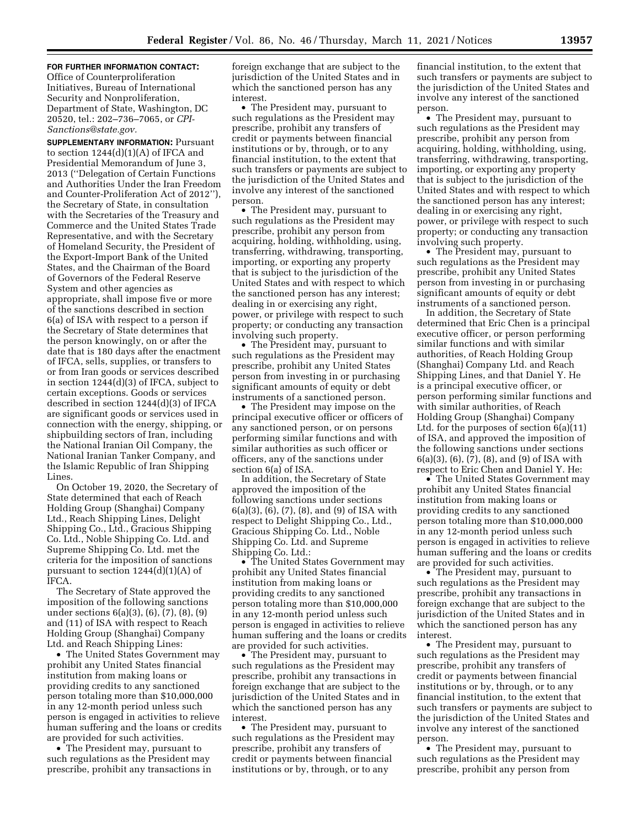# **FOR FURTHER INFORMATION CONTACT:**

Office of Counterproliferation Initiatives, Bureau of International Security and Nonproliferation, Department of State, Washington, DC 20520, tel.: 202–736–7065, or *[CPI-](mailto:CPI-Sanctions@state.gov)[Sanctions@state.gov.](mailto:CPI-Sanctions@state.gov)* 

**SUPPLEMENTARY INFORMATION:** Pursuant to section  $1244(d)(1)(A)$  of IFCA and Presidential Memorandum of June 3, 2013 (''Delegation of Certain Functions and Authorities Under the Iran Freedom and Counter-Proliferation Act of 2012''), the Secretary of State, in consultation with the Secretaries of the Treasury and Commerce and the United States Trade Representative, and with the Secretary of Homeland Security, the President of the Export-Import Bank of the United States, and the Chairman of the Board of Governors of the Federal Reserve System and other agencies as appropriate, shall impose five or more of the sanctions described in section 6(a) of ISA with respect to a person if the Secretary of State determines that the person knowingly, on or after the date that is 180 days after the enactment of IFCA, sells, supplies, or transfers to or from Iran goods or services described in section 1244(d)(3) of IFCA, subject to certain exceptions. Goods or services described in section 1244(d)(3) of IFCA are significant goods or services used in connection with the energy, shipping, or shipbuilding sectors of Iran, including the National Iranian Oil Company, the National Iranian Tanker Company, and the Islamic Republic of Iran Shipping Lines.

On October 19, 2020, the Secretary of State determined that each of Reach Holding Group (Shanghai) Company Ltd., Reach Shipping Lines, Delight Shipping Co., Ltd., Gracious Shipping Co. Ltd., Noble Shipping Co. Ltd. and Supreme Shipping Co. Ltd. met the criteria for the imposition of sanctions pursuant to section  $1244(d)(1)(A)$  of IFCA.

The Secretary of State approved the imposition of the following sanctions under sections 6(a)(3), (6), (7), (8), (9) and (11) of ISA with respect to Reach Holding Group (Shanghai) Company Ltd. and Reach Shipping Lines:

• The United States Government may prohibit any United States financial institution from making loans or providing credits to any sanctioned person totaling more than \$10,000,000 in any 12-month period unless such person is engaged in activities to relieve human suffering and the loans or credits are provided for such activities.

• The President may, pursuant to such regulations as the President may prescribe, prohibit any transactions in foreign exchange that are subject to the jurisdiction of the United States and in which the sanctioned person has any interest.

• The President may, pursuant to such regulations as the President may prescribe, prohibit any transfers of credit or payments between financial institutions or by, through, or to any financial institution, to the extent that such transfers or payments are subject to the jurisdiction of the United States and involve any interest of the sanctioned person.

• The President may, pursuant to such regulations as the President may prescribe, prohibit any person from acquiring, holding, withholding, using, transferring, withdrawing, transporting, importing, or exporting any property that is subject to the jurisdiction of the United States and with respect to which the sanctioned person has any interest; dealing in or exercising any right, power, or privilege with respect to such property; or conducting any transaction involving such property.

• The President may, pursuant to such regulations as the President may prescribe, prohibit any United States person from investing in or purchasing significant amounts of equity or debt instruments of a sanctioned person.

• The President may impose on the principal executive officer or officers of any sanctioned person, or on persons performing similar functions and with similar authorities as such officer or officers, any of the sanctions under section 6(a) of ISA.

In addition, the Secretary of State approved the imposition of the following sanctions under sections 6(a)(3), (6), (7), (8), and (9) of ISA with respect to Delight Shipping Co., Ltd., Gracious Shipping Co. Ltd., Noble Shipping Co. Ltd. and Supreme Shipping Co. Ltd.:

• The United States Government may prohibit any United States financial institution from making loans or providing credits to any sanctioned person totaling more than \$10,000,000 in any 12-month period unless such person is engaged in activities to relieve human suffering and the loans or credits are provided for such activities.

• The President may, pursuant to such regulations as the President may prescribe, prohibit any transactions in foreign exchange that are subject to the jurisdiction of the United States and in which the sanctioned person has any interest.

• The President may, pursuant to such regulations as the President may prescribe, prohibit any transfers of credit or payments between financial institutions or by, through, or to any

financial institution, to the extent that such transfers or payments are subject to the jurisdiction of the United States and involve any interest of the sanctioned person.

• The President may, pursuant to such regulations as the President may prescribe, prohibit any person from acquiring, holding, withholding, using, transferring, withdrawing, transporting, importing, or exporting any property that is subject to the jurisdiction of the United States and with respect to which the sanctioned person has any interest; dealing in or exercising any right, power, or privilege with respect to such property; or conducting any transaction involving such property.

• The President may, pursuant to such regulations as the President may prescribe, prohibit any United States person from investing in or purchasing significant amounts of equity or debt instruments of a sanctioned person.

In addition, the Secretary of State determined that Eric Chen is a principal executive officer, or person performing similar functions and with similar authorities, of Reach Holding Group (Shanghai) Company Ltd. and Reach Shipping Lines, and that Daniel Y. He is a principal executive officer, or person performing similar functions and with similar authorities, of Reach Holding Group (Shanghai) Company Ltd. for the purposes of section 6(a)(11) of ISA, and approved the imposition of the following sanctions under sections 6(a)(3), (6), (7), (8), and (9) of ISA with respect to Eric Chen and Daniel Y. He:

• The United States Government may prohibit any United States financial institution from making loans or providing credits to any sanctioned person totaling more than \$10,000,000 in any 12-month period unless such person is engaged in activities to relieve human suffering and the loans or credits are provided for such activities.

• The President may, pursuant to such regulations as the President may prescribe, prohibit any transactions in foreign exchange that are subject to the jurisdiction of the United States and in which the sanctioned person has any interest.

• The President may, pursuant to such regulations as the President may prescribe, prohibit any transfers of credit or payments between financial institutions or by, through, or to any financial institution, to the extent that such transfers or payments are subject to the jurisdiction of the United States and involve any interest of the sanctioned person.

• The President may, pursuant to such regulations as the President may prescribe, prohibit any person from